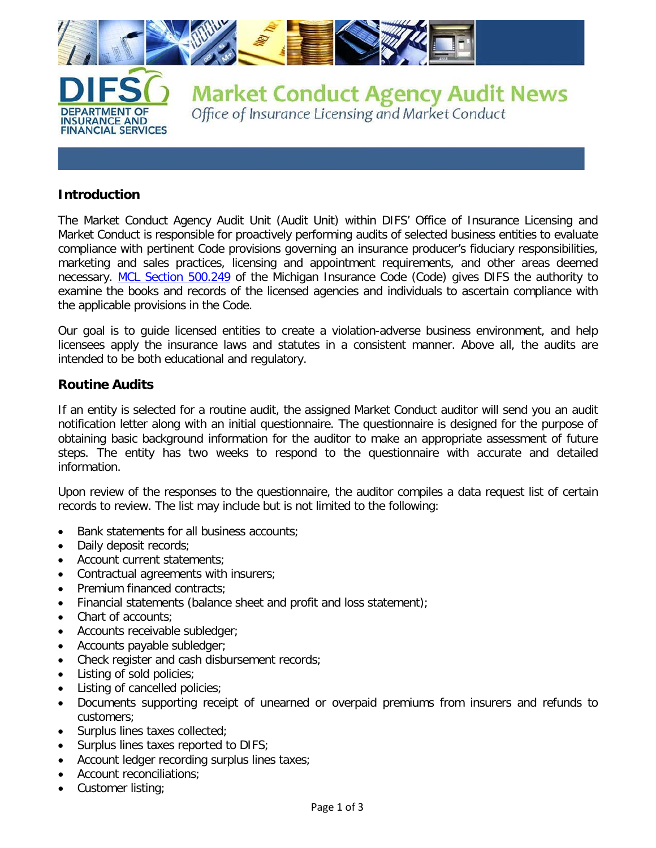

# **Introduction**

The Market Conduct Agency Audit Unit (Audit Unit) within DIFS' Office of Insurance Licensing and Market Conduct is responsible for proactively performing audits of selected business entities to evaluate compliance with pertinent Code provisions governing an insurance producer's fiduciary responsibilities, marketing and sales practices, licensing and appointment requirements, and other areas deemed necessary. [MCL Section 500.249](http://www.legislature.mi.gov/(S(oxcrl2nwigra0kieripknbj3))/mileg.aspx?page=getObject&objectName=mcl-500-249) of the Michigan Insurance Code (Code) gives DIFS the authority to examine the books and records of the licensed agencies and individuals to ascertain compliance with the applicable provisions in the Code.

Our goal is to guide licensed entities to create a violation-adverse business environment, and help licensees apply the insurance laws and statutes in a consistent manner. Above all, the audits are intended to be both educational and regulatory.

# **Routine Audits**

If an entity is selected for a routine audit, the assigned Market Conduct auditor will send you an audit notification letter along with an initial questionnaire. The questionnaire is designed for the purpose of obtaining basic background information for the auditor to make an appropriate assessment of future steps. The entity has two weeks to respond to the questionnaire with accurate and detailed information.

Upon review of the responses to the questionnaire, the auditor compiles a data request list of certain records to review. The list may include but is not limited to the following:

- Bank statements for all business accounts;
- Daily deposit records;
- Account current statements;
- Contractual agreements with insurers;
- Premium financed contracts:
- Financial statements (balance sheet and profit and loss statement);
- Chart of accounts;
- Accounts receivable subledger;
- Accounts payable subledger;
- Check register and cash disbursement records;
- Listing of sold policies;
- Listing of cancelled policies;
- Documents supporting receipt of unearned or overpaid premiums from insurers and refunds to customers;
- Surplus lines taxes collected;
- Surplus lines taxes reported to DIFS;
- Account ledger recording surplus lines taxes;
- Account reconciliations;
- Customer listing;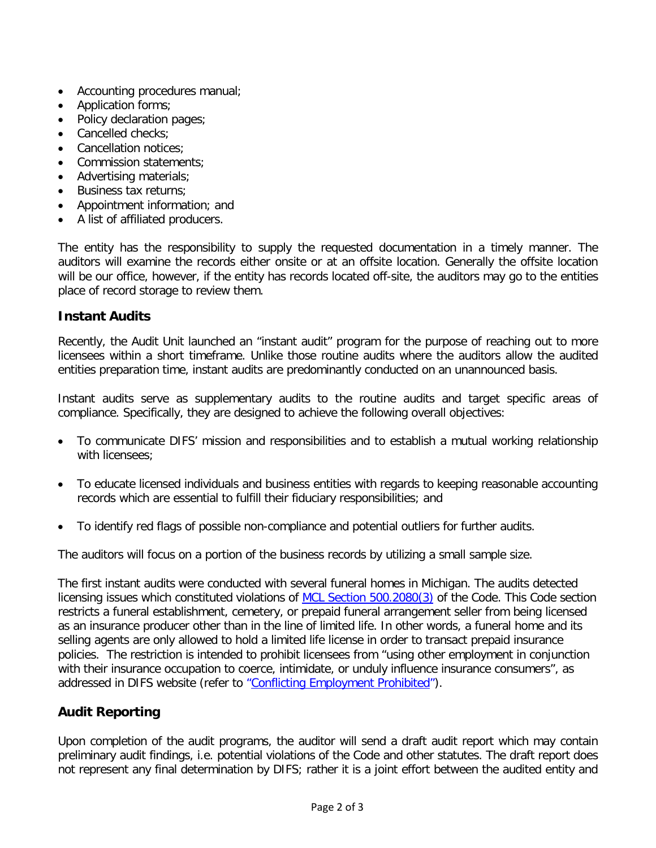- Accounting procedures manual;
- Application forms;
- Policy declaration pages;
- Cancelled checks:
- Cancellation notices:
- Commission statements;
- Advertising materials;
- Business tax returns;
- Appointment information; and
- A list of affiliated producers.

The entity has the responsibility to supply the requested documentation in a timely manner. The auditors will examine the records either onsite or at an offsite location. Generally the offsite location will be our office, however, if the entity has records located off-site, the auditors may go to the entities place of record storage to review them.

# **Instant Audits**

Recently, the Audit Unit launched an "instant audit" program for the purpose of reaching out to more licensees within a short timeframe. Unlike those routine audits where the auditors allow the audited entities preparation time, instant audits are predominantly conducted on an unannounced basis.

Instant audits serve as supplementary audits to the routine audits and target specific areas of compliance. Specifically, they are designed to achieve the following overall objectives:

- To communicate DIFS' mission and responsibilities and to establish a mutual working relationship with licensees;
- To educate licensed individuals and business entities with regards to keeping reasonable accounting records which are essential to fulfill their fiduciary responsibilities; and
- To identify red flags of possible non-compliance and potential outliers for further audits.

The auditors will focus on a portion of the business records by utilizing a small sample size.

The first instant audits were conducted with several funeral homes in Michigan. The audits detected licensing issues which constituted violations of [MCL Section 500.2080\(3\)](http://www.legislature.mi.gov/(S(oxcrl2nwigra0kieripknbj3))/mileg.aspx?page=getObject&objectName=mcl-500-2080) of the Code. This Code section restricts a funeral establishment, cemetery, or prepaid funeral arrangement seller from being licensed as an insurance producer other than in the line of limited life. In other words, a funeral home and its selling agents are only allowed to hold a limited life license in order to transact prepaid insurance policies. The restriction is intended to prohibit licensees from "using other employment in conjunction with their insurance occupation to coerce, intimidate, or unduly influence insurance consumers", as addressed in DIFS website (refer to ["Conflicting Employment Prohibited"\)](http://www.michigan.gov/difs/0,5269,7-303-22535-69198--,00.html).

# **Audit Reporting**

Upon completion of the audit programs, the auditor will send a draft audit report which may contain preliminary audit findings, i.e. potential violations of the Code and other statutes. The draft report does not represent any final determination by DIFS; rather it is a joint effort between the audited entity and